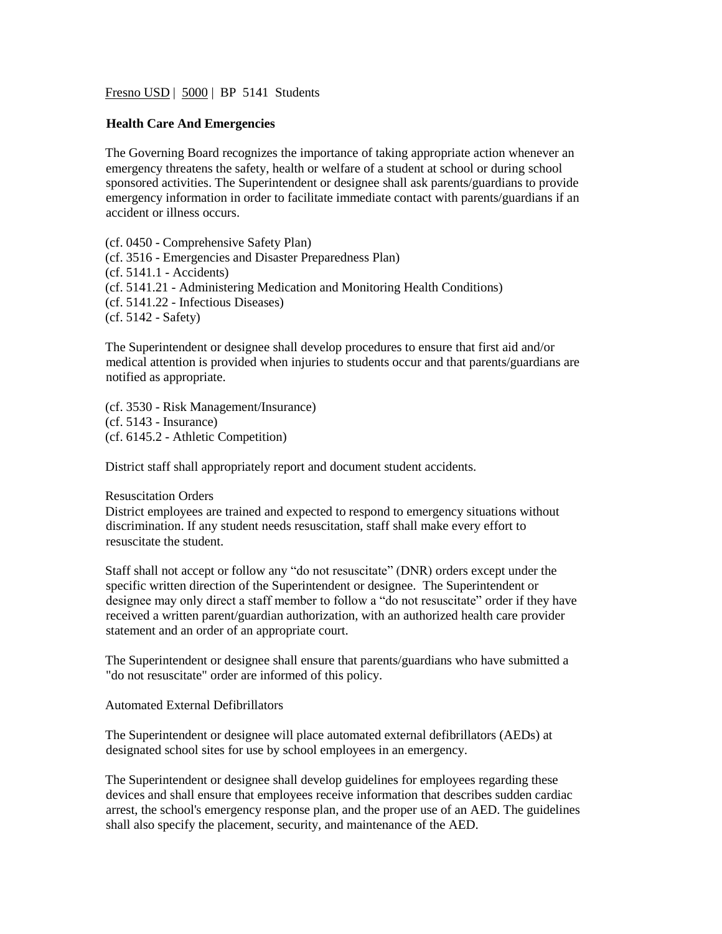Fresno USD | 5000 | BP 5141 Students

## **Health Care And Emergencies**

The Governing Board recognizes the importance of taking appropriate action whenever an emergency threatens the safety, health or welfare of a student at school or during school sponsored activities. The Superintendent or designee shall ask parents/guardians to provide emergency information in order to facilitate immediate contact with parents/guardians if an accident or illness occurs.

(cf. 0450 - Comprehensive Safety Plan) (cf. 3516 - Emergencies and Disaster Preparedness Plan) (cf. 5141.1 - Accidents) (cf. 5141.21 - Administering Medication and Monitoring Health Conditions) (cf. 5141.22 - Infectious Diseases) (cf. 5142 - Safety)

The Superintendent or designee shall develop procedures to ensure that first aid and/or medical attention is provided when injuries to students occur and that parents/guardians are notified as appropriate.

(cf. 3530 - Risk Management/Insurance) (cf. 5143 - Insurance) (cf. 6145.2 - Athletic Competition)

District staff shall appropriately report and document student accidents.

## Resuscitation Orders

District employees are trained and expected to respond to emergency situations without discrimination. If any student needs resuscitation, staff shall make every effort to resuscitate the student.

Staff shall not accept or follow any "do not resuscitate" (DNR) orders except under the specific written direction of the Superintendent or designee. The Superintendent or designee may only direct a staff member to follow a "do not resuscitate" order if they have received a written parent/guardian authorization, with an authorized health care provider statement and an order of an appropriate court.

The Superintendent or designee shall ensure that parents/guardians who have submitted a "do not resuscitate" order are informed of this policy.

## Automated External Defibrillators

The Superintendent or designee will place automated external defibrillators (AEDs) at designated school sites for use by school employees in an emergency.

The Superintendent or designee shall develop guidelines for employees regarding these devices and shall ensure that employees receive information that describes sudden cardiac arrest, the school's emergency response plan, and the proper use of an AED. The guidelines shall also specify the placement, security, and maintenance of the AED.